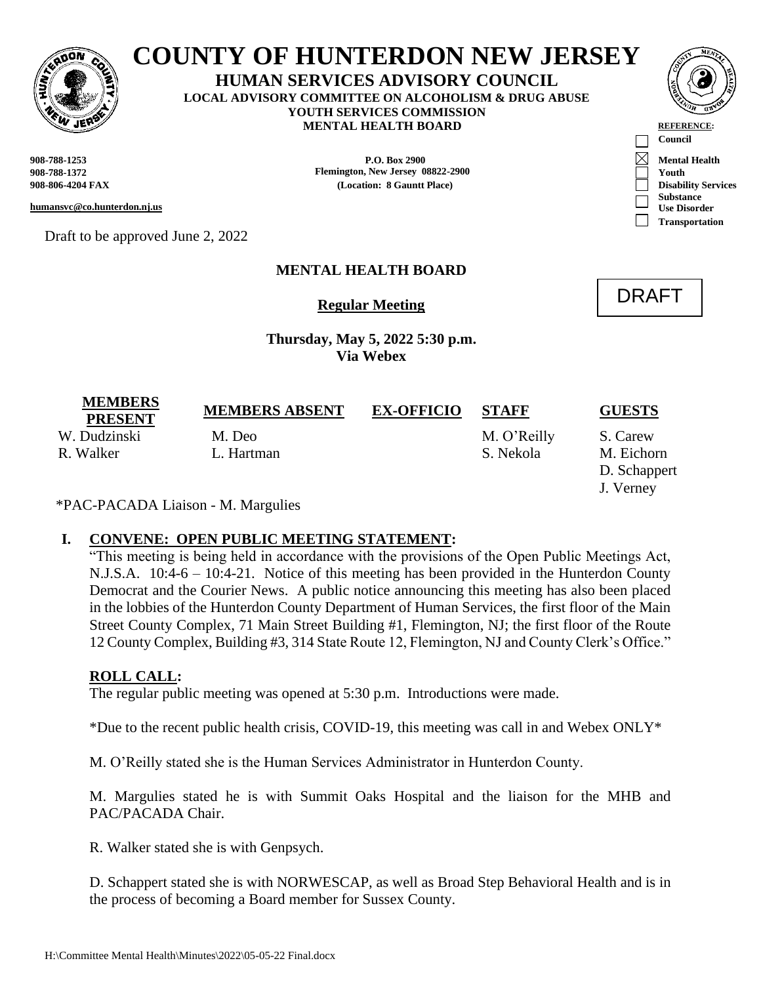

# **COUNTY OF HUNTERDON NEW JERSEY**

**HUMAN SERVICES ADVISORY COUNCIL LOCAL ADVISORY COMMITTEE ON ALCOHOLISM & DRUG ABUSE YOUTH SERVICES COMMISSION MENTAL HEALTH BOARD REFERENCE** 

**Council**

**Substance Use Disorder Transportation**

DRAFT

**908-788-1253 P.O. Box 2900 Mental Health 908-788-1372 Flemington, New Jersey 08822-2900 Youth 908-806-4204 FAX (Location: 8 Gauntt Place) Disability Services**

**humansvc@co.hunterdon.nj.us**

Draft to be approved June 2, 2022

# **MENTAL HEALTH BOARD**

**Regular Meeting**

**Thursday, May 5, 2022 5:30 p.m. Via Webex**

| <b>MEMBERS</b><br><b>PRESENT</b> | <b>MEMBERS ABSENT</b>                                                   | <b>EX-OFFICIO</b> | <b>STAFF</b> | <b>GUESTS</b> |
|----------------------------------|-------------------------------------------------------------------------|-------------------|--------------|---------------|
| W. Dudzinski                     | M. Deo                                                                  |                   | M. O'Reilly  | S. Carew      |
| R. Walker                        | L. Hartman                                                              |                   | S. Nekola    | M. Eichorn    |
|                                  |                                                                         |                   |              | D. Schappert  |
|                                  |                                                                         |                   |              | J. Verney     |
|                                  | $\mathbf{F} \mathbf{A} \cap \mathbf{A} \cap \mathbf{A} \cap \mathbf{A}$ |                   |              |               |

\*PAC-PACADA Liaison - M. Margulies

## **I. CONVENE: OPEN PUBLIC MEETING STATEMENT:**

"This meeting is being held in accordance with the provisions of the Open Public Meetings Act, N.J.S.A. 10:4-6 – 10:4-21. Notice of this meeting has been provided in the Hunterdon County Democrat and the Courier News. A public notice announcing this meeting has also been placed in the lobbies of the Hunterdon County Department of Human Services, the first floor of the Main Street County Complex, 71 Main Street Building #1, Flemington, NJ; the first floor of the Route 12 County Complex, Building #3, 314 State Route 12, Flemington, NJ and County Clerk's Office."

# **ROLL CALL:**

The regular public meeting was opened at 5:30 p.m. Introductions were made.

\*Due to the recent public health crisis, COVID-19, this meeting was call in and Webex  $ONLY^*$ 

M. O'Reilly stated she is the Human Services Administrator in Hunterdon County.

M. Margulies stated he is with Summit Oaks Hospital and the liaison for the MHB and PAC/PACADA Chair.

R. Walker stated she is with Genpsych.

D. Schappert stated she is with NORWESCAP, as well as Broad Step Behavioral Health and is in the process of becoming a Board member for Sussex County.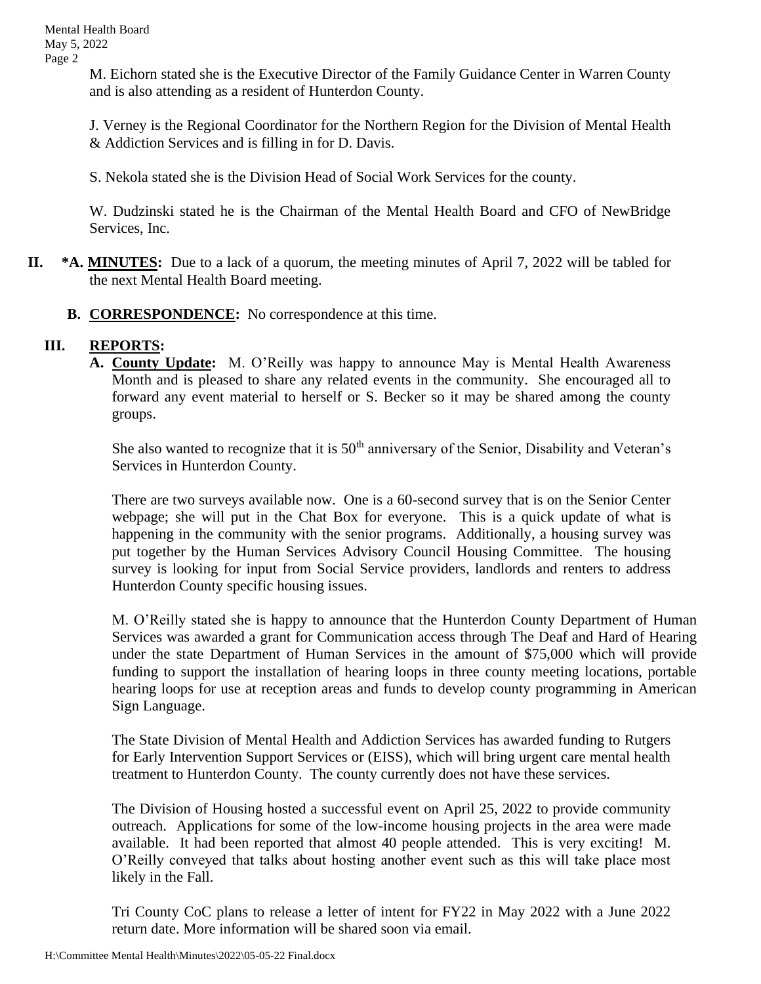M. Eichorn stated she is the Executive Director of the Family Guidance Center in Warren County and is also attending as a resident of Hunterdon County.

J. Verney is the Regional Coordinator for the Northern Region for the Division of Mental Health & Addiction Services and is filling in for D. Davis.

S. Nekola stated she is the Division Head of Social Work Services for the county.

W. Dudzinski stated he is the Chairman of the Mental Health Board and CFO of NewBridge Services, Inc.

- **II. \*A. MINUTES:** Due to a lack of a quorum, the meeting minutes of April 7, 2022 will be tabled for the next Mental Health Board meeting.
	- **B. CORRESPONDENCE:** No correspondence at this time.

## **III. REPORTS:**

**A. County Update:** M. O'Reilly was happy to announce May is Mental Health Awareness Month and is pleased to share any related events in the community. She encouraged all to forward any event material to herself or S. Becker so it may be shared among the county groups.

She also wanted to recognize that it is  $50<sup>th</sup>$  anniversary of the Senior, Disability and Veteran's Services in Hunterdon County.

There are two surveys available now. One is a 60-second survey that is on the Senior Center webpage; she will put in the Chat Box for everyone. This is a quick update of what is happening in the community with the senior programs. Additionally, a housing survey was put together by the Human Services Advisory Council Housing Committee. The housing survey is looking for input from Social Service providers, landlords and renters to address Hunterdon County specific housing issues.

M. O'Reilly stated she is happy to announce that the Hunterdon County Department of Human Services was awarded a grant for Communication access through The Deaf and Hard of Hearing under the state Department of Human Services in the amount of \$75,000 which will provide funding to support the installation of hearing loops in three county meeting locations, portable hearing loops for use at reception areas and funds to develop county programming in American Sign Language.

The State Division of Mental Health and Addiction Services has awarded funding to Rutgers for Early Intervention Support Services or (EISS), which will bring urgent care mental health treatment to Hunterdon County. The county currently does not have these services.

The Division of Housing hosted a successful event on April 25, 2022 to provide community outreach. Applications for some of the low-income housing projects in the area were made available. It had been reported that almost 40 people attended. This is very exciting! M. O'Reilly conveyed that talks about hosting another event such as this will take place most likely in the Fall.

Tri County CoC plans to release a letter of intent for FY22 in May 2022 with a June 2022 return date. More information will be shared soon via email.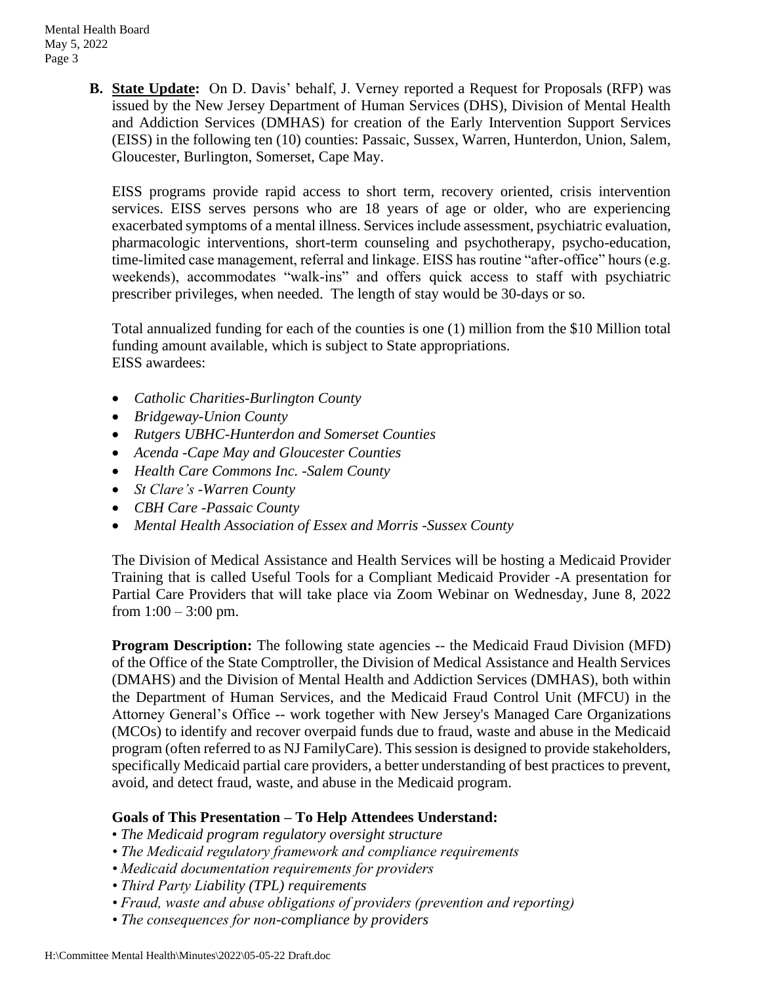**B. State Update:** On D. Davis' behalf, J. Verney reported a Request for Proposals (RFP) was issued by the New Jersey Department of Human Services (DHS), Division of Mental Health and Addiction Services (DMHAS) for creation of the Early Intervention Support Services (EISS) in the following ten (10) counties: Passaic, Sussex, Warren, Hunterdon, Union, Salem, Gloucester, Burlington, Somerset, Cape May.

EISS programs provide rapid access to short term, recovery oriented, crisis intervention services. EISS serves persons who are 18 years of age or older, who are experiencing exacerbated symptoms of a mental illness. Services include assessment, psychiatric evaluation, pharmacologic interventions, short-term counseling and psychotherapy, psycho-education, time-limited case management, referral and linkage. EISS has routine "after-office" hours (e.g. weekends), accommodates "walk-ins" and offers quick access to staff with psychiatric prescriber privileges, when needed. The length of stay would be 30-days or so.

Total annualized funding for each of the counties is one (1) million from the \$10 Million total funding amount available, which is subject to State appropriations. EISS awardees:

- *Catholic Charities-Burlington County*
- *Bridgeway-Union County*
- *Rutgers UBHC-Hunterdon and Somerset Counties*
- *Acenda -Cape May and Gloucester Counties*
- *Health Care Commons Inc. -Salem County*
- *St Clare's -Warren County*
- *CBH Care -Passaic County*
- *Mental Health Association of Essex and Morris -Sussex County*

The Division of Medical Assistance and Health Services will be hosting a Medicaid Provider Training that is called Useful Tools for a Compliant Medicaid Provider -A presentation for Partial Care Providers that will take place via Zoom Webinar on Wednesday, June 8, 2022 from  $1:00 - 3:00$  pm.

**Program Description:** The following state agencies -- the Medicaid Fraud Division (MFD) of the Office of the State Comptroller, the Division of Medical Assistance and Health Services (DMAHS) and the Division of Mental Health and Addiction Services (DMHAS), both within the Department of Human Services, and the Medicaid Fraud Control Unit (MFCU) in the Attorney General's Office -- work together with New Jersey's Managed Care Organizations (MCOs) to identify and recover overpaid funds due to fraud, waste and abuse in the Medicaid program (often referred to as NJ FamilyCare). This session is designed to provide stakeholders, specifically Medicaid partial care providers, a better understanding of best practices to prevent, avoid, and detect fraud, waste, and abuse in the Medicaid program.

# **Goals of This Presentation – To Help Attendees Understand:**

- *The Medicaid program regulatory oversight structure*
- *The Medicaid regulatory framework and compliance requirements*
- *Medicaid documentation requirements for providers*
- *Third Party Liability (TPL) requirements*
- *Fraud, waste and abuse obligations of providers (prevention and reporting)*
- *The consequences for non-compliance by providers*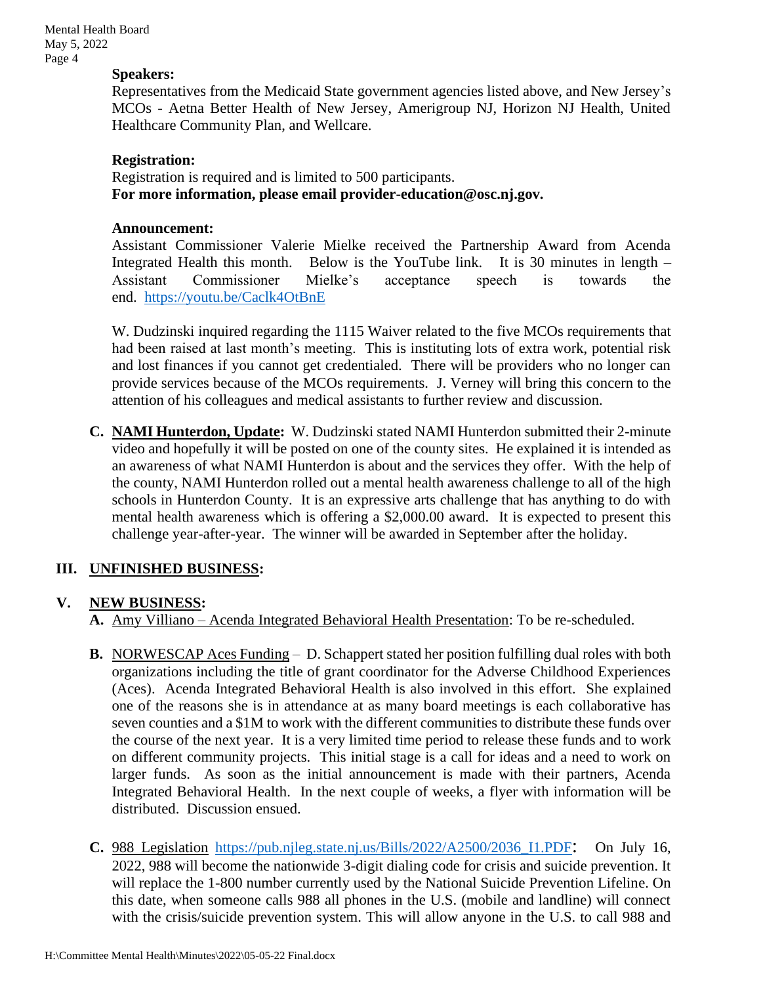Mental Health Board May 5, 2022 Page 4

#### **Speakers:**

Representatives from the Medicaid State government agencies listed above, and New Jersey's MCOs - Aetna Better Health of New Jersey, Amerigroup NJ, Horizon NJ Health, United Healthcare Community Plan, and Wellcare.

#### **Registration:**

Registration is required and is limited to 500 participants. **For more information, please email provider-education@osc.nj.gov.** 

#### **Announcement:**

Assistant Commissioner Valerie Mielke received the Partnership Award from Acenda Integrated Health this month. Below is the YouTube link. It is 30 minutes in length – Assistant Commissioner Mielke's acceptance speech is towards the end. [https://youtu.be/Caclk4OtBnE](https://urldefense.com/v3/__https:/youtu.be/Caclk4OtBnE__;!!J30X0ZrnC1oQtbA!IYlcszQubotzEBQ_6_A4rGMajCJDdx_ROkZ3ygHVs6d1044Bqzb2hy35E6jzIn_4Ni7FUZAp8twRQ8_mvDRRWsI70kw$)

W. Dudzinski inquired regarding the 1115 Waiver related to the five MCOs requirements that had been raised at last month's meeting. This is instituting lots of extra work, potential risk and lost finances if you cannot get credentialed. There will be providers who no longer can provide services because of the MCOs requirements. J. Verney will bring this concern to the attention of his colleagues and medical assistants to further review and discussion.

**C. NAMI Hunterdon, Update:** W. Dudzinski stated NAMI Hunterdon submitted their 2-minute video and hopefully it will be posted on one of the county sites. He explained it is intended as an awareness of what NAMI Hunterdon is about and the services they offer. With the help of the county, NAMI Hunterdon rolled out a mental health awareness challenge to all of the high schools in Hunterdon County. It is an expressive arts challenge that has anything to do with mental health awareness which is offering a \$2,000.00 award. It is expected to present this challenge year-after-year. The winner will be awarded in September after the holiday.

# **III. UNFINISHED BUSINESS:**

## **V. NEW BUSINESS:**

- **A.** Amy Villiano Acenda Integrated Behavioral Health Presentation: To be re-scheduled.
- **B.** NORWESCAP Aces Funding D. Schappert stated her position fulfilling dual roles with both organizations including the title of grant coordinator for the Adverse Childhood Experiences (Aces). Acenda Integrated Behavioral Health is also involved in this effort. She explained one of the reasons she is in attendance at as many board meetings is each collaborative has seven counties and a \$1M to work with the different communities to distribute these funds over the course of the next year. It is a very limited time period to release these funds and to work on different community projects. This initial stage is a call for ideas and a need to work on larger funds. As soon as the initial announcement is made with their partners, Acenda Integrated Behavioral Health. In the next couple of weeks, a flyer with information will be distributed. Discussion ensued.
- **C.** 988 Legislation [https://pub.njleg.state.nj.us/Bills/2022/A2500/2036\\_I1.PDF](https://pub.njleg.state.nj.us/Bills/2022/A2500/2036_I1.PDF): On July 16, 2022, 988 will become the nationwide 3-digit dialing code for crisis and suicide prevention. It will replace the 1-800 number currently used by the National Suicide Prevention Lifeline. On this date, when someone calls 988 all phones in the U.S. (mobile and landline) will connect with the crisis/suicide prevention system. This will allow anyone in the U.S. to call 988 and